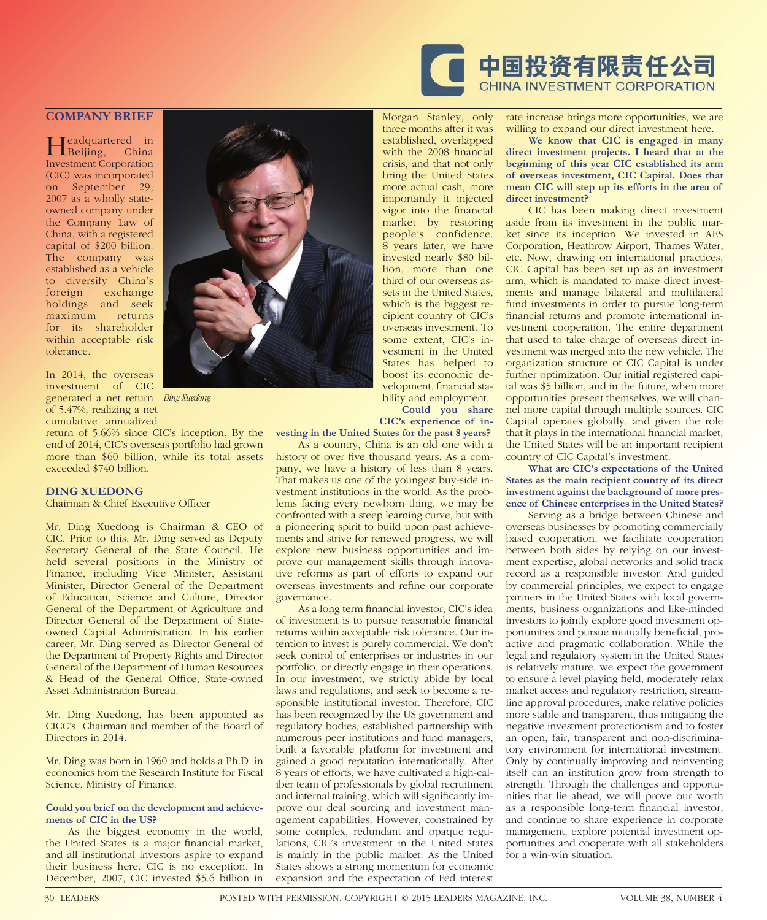

## **COMPANY BRIEF**

Headquartered in Beijing, China Investment Corporation (CIC) was incorporated on September 29, 2007 as a wholly stateowned company under the Company Law of China, with a registered capital of \$200 billion. The company was established as a vehicle to diversify China's exchange holdings and seek maximum returns for its shareholder within acceptable risk tolerance.

In 2014, the overseas investment of CIC generated a net return of 5.47%, realizing a net cumulative annualized

return of 5.66% since CIC's inception. By the end of 2014, CIC's overseas portfolio had grown more than \$60 billion, while its total assets exceeded \$740 billion.

## **DING XUEDONG**

Chairman & Chief Executive Officer

Mr. Ding Xuedong is Chairman & CEO of CIC. Prior to this, Mr. Ding served as Deputy Secretary General of the State Council. He held several positions in the Ministry of Finance, including Vice Minister, Assistant Minister, Director General of the Department of Education, Science and Culture, Director General of the Department of Agriculture and Director General of the Department of Stateowned Capital Administration. In his earlier career, Mr. Ding served as Director General of the Department of Property Rights and Director General of the Department of Human Resources & Head of the General Office, State-owned Asset Administration Bureau.

Mr. Ding Xuedong, has been appointed as CICC's Chairman and member of the Board of Directors in 2014.

Mr. Ding was born in 1960 and holds a Ph.D. in economics from the Research Institute for Fiscal Science, Ministry of Finance.

## **Could you brief on the development and achievements of CIC in the US?**

As the biggest economy in the world, the United States is a major financial market, and all institutional investors aspire to expand their business here. CIC is no exception. In December, 2007, CIC invested \$5.6 billion in



*Ding Xuedong*

with the 2008 financial crisis, and that not only bring the United States more actual cash, more importantly it injected vigor into the financial market by restoring people's confidence. 8 years later, we have invested nearly \$80 billion, more than one third of our overseas assets in the United States, which is the biggest recipient country of CIC's overseas investment. To some extent, CIC's investment in the United States has helped to boost its economic development, financial sta-

Morgan Stanley, only three months after it was established, overlapped

bility and employment. **Could you share CIC's experience of in-**

**vesting in the United States for the past 8 years?**

As a country, China is an old one with a history of over five thousand years. As a company, we have a history of less than 8 years. That makes us one of the youngest buy-side investment institutions in the world. As the problems facing every newborn thing, we may be confronted with a steep learning curve, but with a pioneering spirit to build upon past achievements and strive for renewed progress, we will explore new business opportunities and improve our management skills through innovative reforms as part of efforts to expand our overseas investments and refine our corporate governance.

As a long term financial investor, CIC's idea of investment is to pursue reasonable financial returns within acceptable risk tolerance. Our intention to invest is purely commercial. We don't seek control of enterprises or industries in our portfolio, or directly engage in their operations. In our investment, we strictly abide by local laws and regulations, and seek to become a responsible institutional investor. Therefore, CIC has been recognized by the US government and regulatory bodies, established partnership with numerous peer institutions and fund managers, built a favorable platform for investment and gained a good reputation internationally. After 8 years of efforts, we have cultivated a high-caliber team of professionals by global recruitment and internal training, which will significantly improve our deal sourcing and investment management capabilities. However, constrained by some complex, redundant and opaque regulations, CIC's investment in the United States is mainly in the public market. As the United States shows a strong momentum for economic expansion and the expectation of Fed interest

rate increase brings more opportunities, we are willing to expand our direct investment here.

**We know that CIC is engaged in many direct investment projects. I heard that at the beginning of this year CIC established its arm of overseas investment, CIC Capital. Does that mean CIC will step up its efforts in the area of direct investment?**

CIC has been making direct investment aside from its investment in the public market since its inception. We invested in AES Corporation, Heathrow Airport, Thames Water, etc. Now, drawing on international practices, CIC Capital has been set up as an investment arm, which is mandated to make direct investments and manage bilateral and multilateral fund investments in order to pursue long-term financial returns and promote international investment cooperation. The entire department that used to take charge of overseas direct investment was merged into the new vehicle. The organization structure of CIC Capital is under further optimization. Our initial registered capital was \$5 billion, and in the future, when more opportunities present themselves, we will channel more capital through multiple sources. CIC Capital operates globally, and given the role that it plays in the international financial market, the United States will be an important recipient country of CIC Capital's investment.

## **What are CIC's expectations of the United States as the main recipient country of its direct investment against the background of more presence of Chinese enterprises in the United States?**

Serving as a bridge between Chinese and overseas businesses by promoting commercially based cooperation, we facilitate cooperation between both sides by relying on our investment expertise, global networks and solid track record as a responsible investor. And guided by commercial principles, we expect to engage partners in the United States with local governments, business organizations and like-minded investors to jointly explore good investment opportunities and pursue mutually beneficial, proactive and pragmatic collaboration. While the legal and regulatory system in the United States is relatively mature, we expect the government to ensure a level playing field, moderately relax market access and regulatory restriction, streamline approval procedures, make relative policies more stable and transparent, thus mitigating the negative investment protectionism and to foster an open, fair, transparent and non-discriminatory environment for international investment. Only by continually improving and reinventing itself can an institution grow from strength to strength. Through the challenges and opportunities that lie ahead, we will prove our worth as a responsible long-term financial investor, and continue to share experience in corporate management, explore potential investment opportunities and cooperate with all stakeholders for a win-win situation.